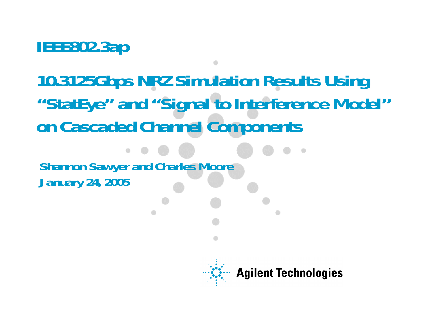**IEEE802.3ap** 

**10.3125Gbps NRZ Simulation Results Using "StatEye" and "Signal to Interference Model" on Cascaded Channel Components**

**Shannon Sawyer and Charles Moore January 24, 2005**

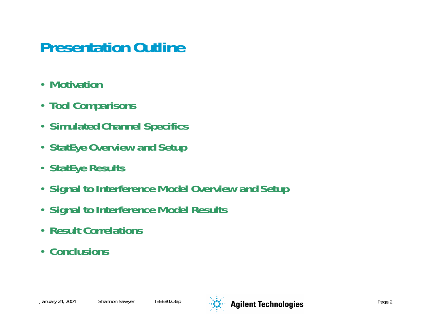#### **Presentation Outline**

- •**Motivation**
- **Tool Comparisons**
- **Simulated Channel Specifics**
- **StatEye Overview and Setup**
- **StatEye Results**
- **Signal to Interference Model Overview and Setup**
- **Signal to Interference Model Results**
- **Result Correlations**
- **Conclusions**

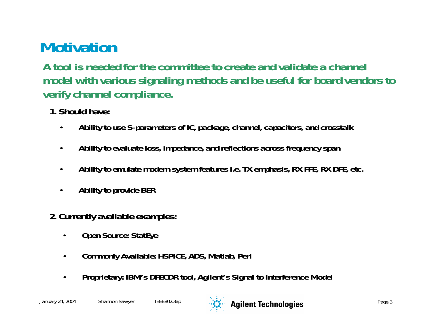### **Motivation**

**A tool is needed for the committee to create and validate a channel model with various signaling methods and be useful for board vendors to verify channel compliance.**

- **1. Should have:**
	- •**Ability to use S-parameters of IC, package, channel, capacitors, and crosstalk**
	- •**Ability to evaluate loss, impedance, and reflections across frequency span**
	- •**Ability to emulate modern system features i.e. TX emphasis, RX FFE, RX DFE, etc.**
	- •**Ability to provide BER**
- **2. Currently available examples:**
	- •**Open Source: StatEye**
	- •**Commonly Available: HSPICE, ADS, Matlab, Perl**
	- •**Proprietary: IBM's DFECDR tool, Agilent's Signal to Interference Model**

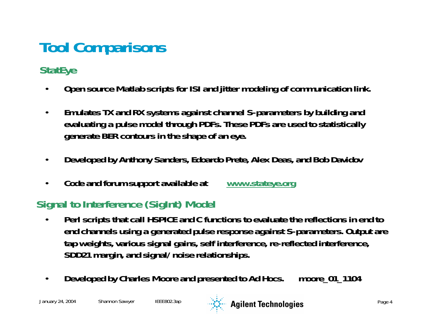## **Tool Comparisons**

#### **StatEye**

- $\bullet$ **Open source Matlab scripts for ISI and jitter modeling of communication link.**
- $\bullet$  **Emulates TX and RX systems against channel S-parameters by building and evaluating a pulse model through PDFs. These PDFs are used to statistically generate BER contours in the shape of an eye.**
- $\bullet$ **Developed by Anthony Sanders, Edoardo Prete, Alex Deas, and Bob Davidov**
- $\bullet$ **Code and forum support available at www.stateye.org**

#### **Signal to Interference (SigInt) Model**

- • **Perl scripts that call HSPICE and C functions to evaluate the reflections in end to end channels using a generated pulse response against S-parameters. Output are tap weights, various signal gains, self interference, re-reflected interference, SDD21 margin, and signal/noise relationships.**
- •**Developed by Charles Moore and presented to Ad Hocs. moore\_01\_1104**

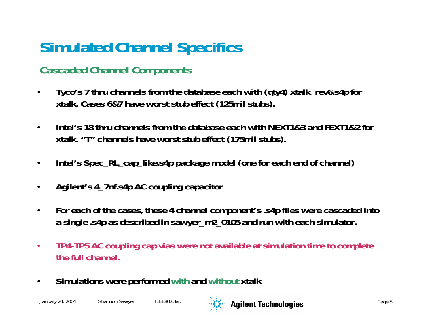### **Simulated Channel Specifics**

#### **Cascaded Channel Components**

- • **Tyco's 7 thru channels from the database each with (qty4) xtalk\_rev6.s4p for xtalk. Cases 6&7 have worst stub effect (125mil stubs).**
- $\bullet$  **Intel's 18 thru channels from the database each with NEXT1&3 and FEXT1&2 for xtalk. "T" channels have worst stub effect (175mil stubs).**
- •**Intel's Spec\_RL\_cap\_like.s4p package model (one for each end of channel)**
- •**Agilent's 4\_7nf.s4p AC coupling capacitor**
- • **For each of the cases, these 4 channel component's .s4p files were cascaded into a single .s4p as described in sawyer\_m2\_0105 and run with each simulator.**
- $\bullet$  **TP4-TP5 AC coupling cap vias were not available at simulation time to complete the full channel.**
- $\bullet$ **Simulations were performed with and without xtalk**

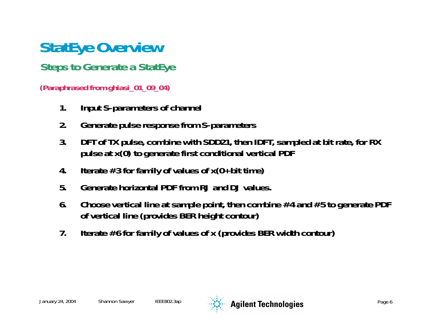### **StatEye Overview**

#### **Steps to Generate a StatEye**

#### **(Paraphrased from ghiasi\_01\_09\_04)**

- **1. Input S-parameters of channel**
- **2. Generate pulse response from S-parameters**
- **3. DFT of TX pulse, combine with SDD21, then IDFT, sampled at bit rate, for RX pulse at x(0) to generate first conditional vertical PDF**
- **4. Iterate #3 for family of values of x(0+bit time)**
- **5. Generate horizontal PDF from RJ and DJ values.**
- **6. Choose vertical line at sample point, then combine #4 and #5 to generate PDF of vertical line (provides BER height contour)**
- **7. Iterate #6 for family of values of x (provides BER width contour)**

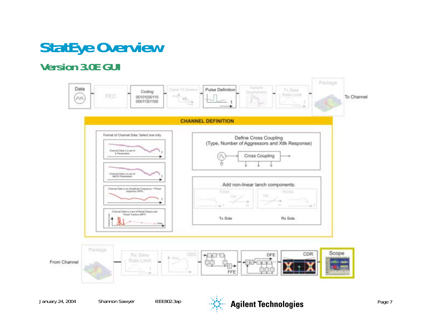### **StatEye Overview**

#### **Version 3.0E GUI**

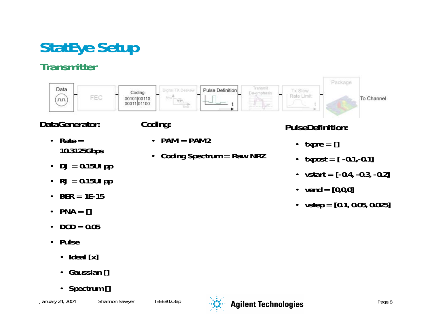### **StatEye Setup**

#### **Transmitter**



**Coding Spectrum = Raw NRZ**

#### **DataGenerator:**

- **Rate = 10.3125Gbps**
- **DJ = 0.15UI pp**
- **RJ = 0.15UI pp**
- **BER = 1E-15**
- •**PNA = []**
- $\cdot$  **DCD** = 0.05
- **Pulse** 
	- **Ideal [x]**
	- **Gaussian []**
	- **Spectrum []**

**Coding:**

 $\bullet$ 

• **PAM = PAM2**



#### **PulseDefinition:**

- **txpre = []**
- **txpost = [ -0.1,-0.1]**
- **vstart = [-0.4, -0.3, -0.2]**
- **vend = [0,0,0]**
- **vstep = [0.1, 0.05, 0.025]**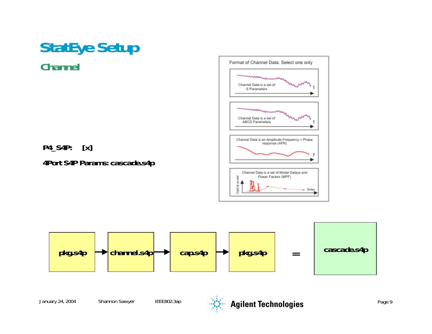

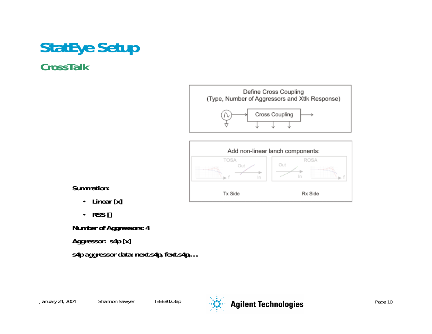#### **StatEye Setup CrossTalk**





**Summation:**

- **Linear [x]**
- **RSS []**

**Number of Aggressors: 4**

**Aggressor: s4p [x]**

**s4p aggressor data: next.s4p, fext.s4p,….**

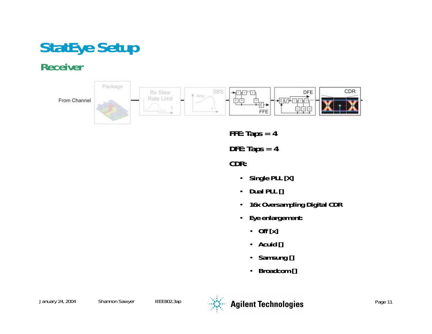## **StatEye Setup**

#### **Receiver**

From Channel



**FFE: Taps = 4**

**DFE: Taps = 4**

**CDR:**

- •**Single PLL [X]**
- •**Dual PLL []**
- •**16x Oversampling Digital CDR**
- • **Eye enlargement:** 
	- **Off [x]**
	- **Acuid []**
	- •**Samsung []**
	- •**Broadcom []**

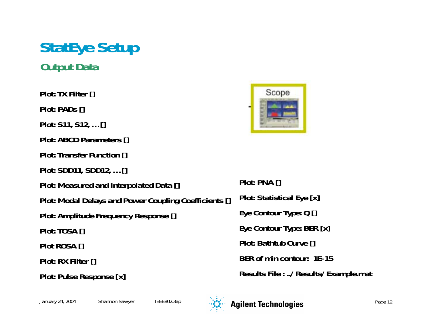#### **StatEye Setup Output Data**

**Plot: TX Filter [] Plot: PADs [] Plot: S11, S12, … [] Plot: ABCD Parameters [] Plot: Transfer Function [] Plot: SDD11, SDD12, … [] Plot: Measured and Interpolated Data [] Plot: Modal Delays and Power Coupling Coefficients [] Plot: Amplitude Frequency Response [] Plot: TOSA [] Plot ROSA [] Plot: RX Filter [] Plot: Pulse Response [x]**



**Plot: PNA [] Plot: Statistical Eye [x] Eye Contour Type: Q [] Eye Contour Type: BER [x] Plot: Bathtub Curve [] BER of min contour: 1E-15Results File : ../Results/Example.mat**

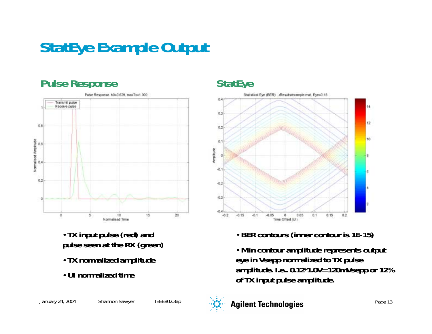### **StatEye Example Output**

#### **Pulse Response**



- **TX input pulse (red) and pulse seen at the RX (green)**
- **TX normalized amplitude**
- **UI normalized time**

#### **StatEye**



- **BER contours (inner contour is 1E-15)**
- **Min contour amplitude represents output eye in Vsepp normalized to TX pulse amplitude. I.e.. 0.12\*1.0V=120mVsepp or 12% of TX input pulse amplitude.**



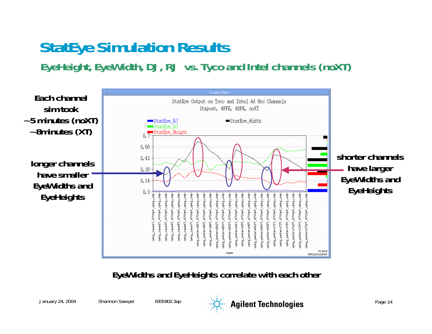### **StatEye Simulation Results**

**EyeHeight, EyeWidth, DJ, RJ vs. Tyco and Intel channels (noXT)**



**EyeWidths and EyeHeights correlate with each other**

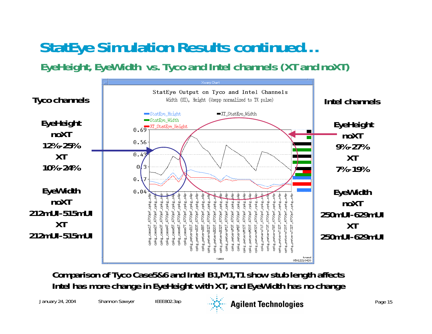### **StatEye Simulation Results continued…**

**EyeHeight, EyeWidth vs. Tyco and Intel channels (XT and noXT)**



**Comparison of Tyco Case5&6 and Intel B1,M1,T1 show stub length affects Intel has more change in EyeHeight with XT, and EyeWidth has no change** 



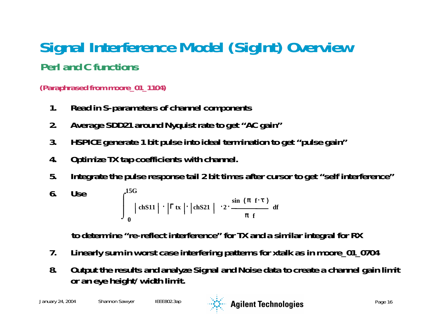#### **Signal Interference Model (SigInt) Overview Perl and C functions**

#### **(Paraphrased from moore\_01\_1104)**

- **1. Read in S-parameters of channel components**
- **2. Average SDD21 around Nyquist rate to get "AC gain"**
- **3. HSPICE generate 1 bit pulse into ideal termination to get "pulse gain"**
- **4. Optimize TX tap coefficients with channel.**
- **5. Integrate the pulse response tail 2 bit times after cursor to get "self interference"**

6. Use 
$$
\int_{0}^{15G} |\text{chS11}| \cdot |\Gamma \text{tx}| |\text{chS21}| \cdot 2 \cdot \frac{\sin (\pi \text{ f} \cdot \tau)}{\pi \text{ f}} \text{df}
$$

**to determine "re-reflect interference" for TX and a similar integral for RX**

- **7. Linearly sum in worst case interfering patterns for xtalk as in moore\_01\_0704**
- **8. Output the results and analyze Signal and Noise data to create a channel gain limit or an eye height/width limit.**

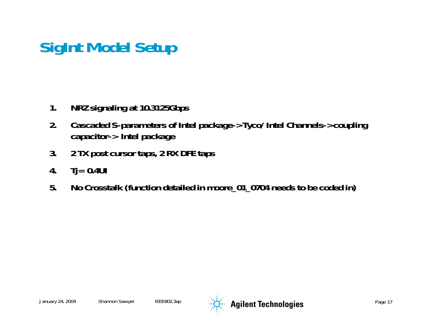### **SigInt Model Setup**

- **1. NRZ signaling at 10.3125Gbps**
- **2. Cascaded S-parameters of Intel package->Tyco/Intel Channels->coupling capacitor-> Intel package**
- **3. 2 TX post cursor taps, 2 RX DFE taps**
- **4. Tj= 0.4UI**
- **5. No Crosstalk (function detailed in moore\_01\_0704 needs to be coded in)**

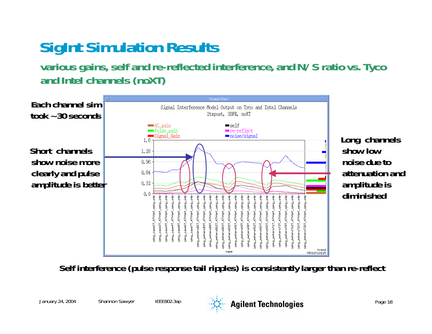### **SigInt Simulation Results**

**various gains, self and re-reflected interference, and N/S ratio vs. Tyco and Intel channels (noXT)**



**Long channels show low noise due to attenuation and amplitude is diminished**

**Self interference (pulse response tail ripples) is consistently larger than re-reflect** 



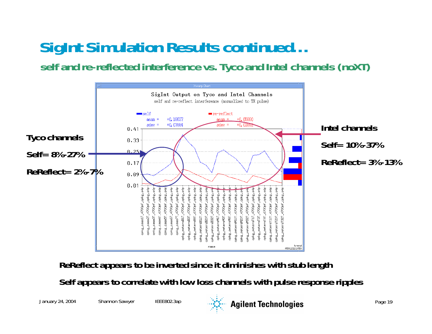### **SigInt Simulation Results continued…**

**self and re-reflected interference vs. Tyco and Intel channels (noXT)**



**ReReflect appears to be inverted since it diminishes with stub length**

**Self appears to correlate with low loss channels with pulse response ripples**



January 24, 2004 Shannon Sawyer IEEE802.3ap **Agilent Technologies** Page 19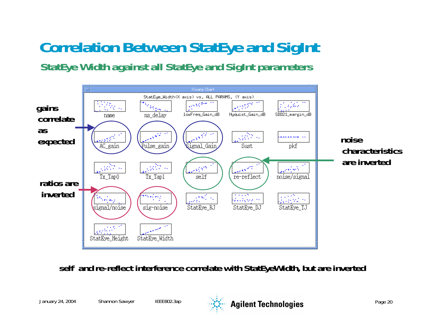# **Correlation Between StatEye and SigInt**

**StatEye Width against all StatEye and SigInt parameters**



**self and re-reflect interference correlate with StatEyeWidth, but are inverted** 

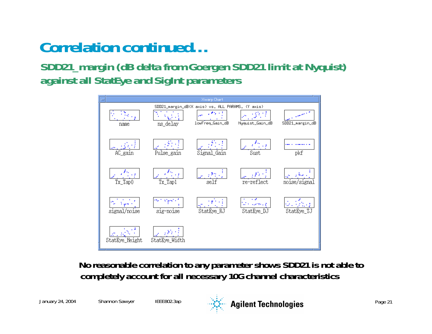### **Correlation continued…**

**SDD21\_margin (dB delta from Goergen SDD21 limit at Nyquist) against all StatEye and SigInt parameters**



**No reasonable correlation to any parameter shows SDD21 is not able to completely account for all necessary 10G channel characteristics**

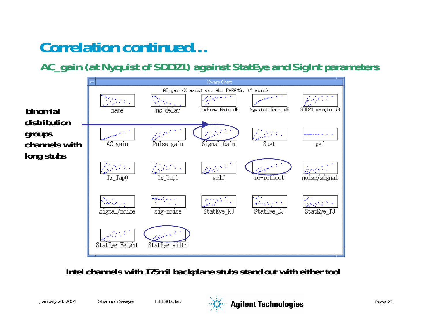### **Correlation continued…**

**AC\_gain (at Nyquist of SDD21) against StatEye and SigInt parameters**



**Intel channels with 175mil backplane stubs stand out with either tool** 

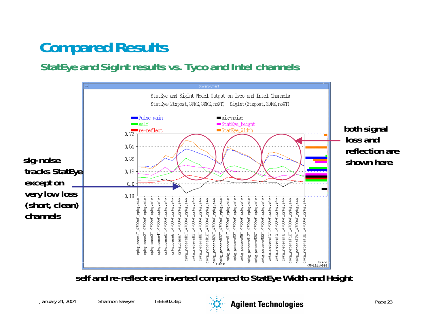### **Compared Results**

**StatEye and SigInt results vs. Tyco and Intel channels**



**self and re-reflect are inverted compared to StatEye Width and Height** 



January 24, 2004 Shannon Sawyer IEEE802.3ap **Agilent Technologies** Page 23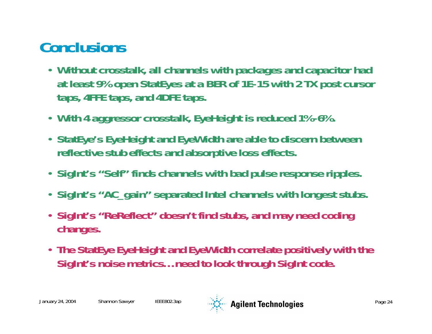### **Conclusions**

- **Without crosstalk, all channels with packages and capacitor had at least 9% open StatEyes at a BER of 1E-15 with 2 TX post cursor taps, 4FFE taps, and 4DFE taps.**
- **With 4 aggressor crosstalk, EyeHeight is reduced 1%-6%.**
- **StatEye's EyeHeight and EyeWidth are able to discern between reflective stub effects and absorptive loss effects.**
- **SigInt's "Self" finds channels with bad pulse response ripples.**
- **SigInt's "AC\_gain" separated Intel channels with longest stubs.**
- **SigInt's "ReReflect" doesn't find stubs, and may need coding changes.**
- **The StatEye EyeHeight and EyeWidth correlate positively with the SigInt's noise metrics… need to look through SigInt code.**

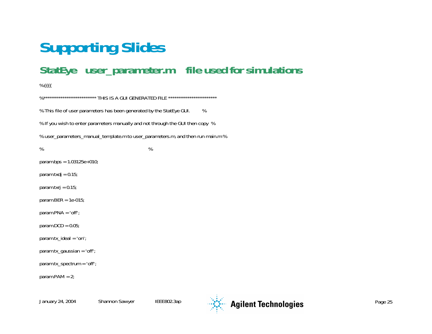#### **StatEye user\_parameter.m file used for simulations**

%{{{{

%\*\*\*\*\*\*\*\*\*\*\*\*\*\*\*\*\*\*\*\*\*\*\*\*\*\*\*\*\* THIS IS A GUI GENERATED FILE \*\*\*\*\*\*\*\*\*\*\*\*\*\*\*\*\*\*\*\*\*\* % This file of user parameters has been generated by the StatEye GUI. % % If you wish to enter parameters manually and not through the GUI then copy % % user\_parameters\_manual\_template.m to user\_parameters.m, and then run main.m %  $\%$ param.bps = 1.03125e+010; param.txdj =  $0.15$ ; param.txr $j = 0.15$ ; param.BER = 1e-015; param.PNA = 'off'; param.DCD =  $0.05$ ; param.tx\_ideal = 'on'; param.tx\_gaussian <sup>=</sup>'off'; param.tx\_spectrum = 'off'; param.PAM = 2;

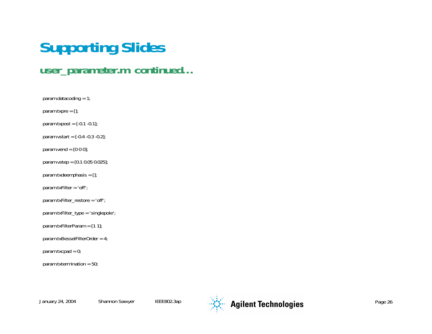#### **user\_parameter.m continued…**

param.datacoding = 1;

param.txpre  $= []$ ;

- $param.txpost = [-0.1 -0.1];$
- param.vstart =  $[-0.4 -0.3 -0.2]$ ;
- param.vend =  $[0 0 0]$ ;
- param.vstep = [0.1 0.05 0.025];
- param.txdeemphasis = [];
- param.txFilter <sup>=</sup>'off';
- param.txFilter\_restore = 'off';
- param.txFilter\_type = 'singlepole';
- param.txFilterParam = [1 1];
- param.txBesselFilterOrder = 4;
- $param.txcpad = 0;$
- param.txtermination = 50;

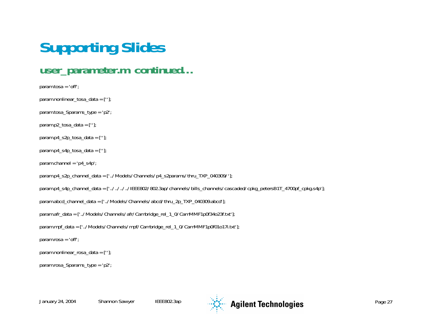#### **user\_parameter.m continued…**

```
param.tosa = 'off';
param.nonlinear_tosa_data = [''];
param.tosa_Sparams_type = 'p2';
param.p2_tosa_data = [''];
param.p4_s2p_tosa_data = [''];
param.p4_s4p\_tosa\_data = [''];
param.channel = 'p4_s4p';
param.p4_s2p_channel_data = ['../Models/Channels/p4_s2params/thru_TXP_040309/'];
param.p4_s4p_channel_data = ['../../../../IEEE802/802.3ap/channels/bills_channels/cascaded/cpkg_petersB1T_4700pf_cpkg.s4p'];
param.abcd_channel_data = ['../Models/Channels/abcd/thru_2p_TXP_040309.abcd'];
param.afr_data = ['../Models/Channels/afr/Cambridge_rel_1_0/CamMMF1p0f34o23f.txt'];
param.mpf_data = ['../Models/Channels/mpf/Cambridge_rel_1_0/CamMMF1p0f01o17i.txt'];
param.rosa ='off';
param.nonlinear_rosa_data = [''];
param.rosa_Sparams_type = 'p2';
```
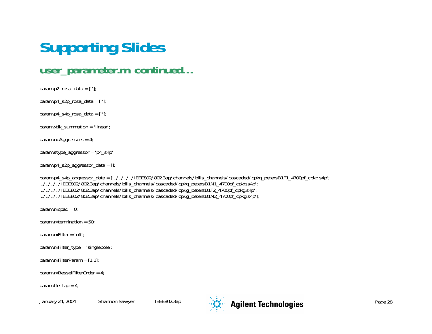#### **user\_parameter.m continued…**

```
param.p2_rosa_data = [''];
param.p4_s2p_rosa_data = [''];
param.p4_s4p_rosa_data = [''];
param.xtlk_summation = 'linear';
param.noAggressors = 4;
param.stype_aggressor = 'p4_s4p';
param.p4_s2p_aggressor_data = [];
param.p4_s4p_aggressor_data = ['../../../../IEEE802/802.3ap/channels/bills_channels/cascaded/cpkg_petersB1F1_4700pf_cpkg.s4p'; 
'../../../../IEEE802/802.3ap/channels/bills_channels/cascaded/cpkg_petersB1N1_4700pf_cpkg.s4p'; 
'../../../../IEEE802/802.3ap/channels/bills_channels/cascaded/cpkg_petersB1F2_4700pf_cpkg.s4p'; 
'../../../../IEEE802/802.3ap/channels/bills_channels/cascaded/cpkg_petersB1N2_4700pf_cpkg.s4p'];
```
param.rxcpad = 0;

param.rxtermination =  $50$ ;

param.rxFilter <sup>=</sup>'off';

param.rxFilter\_type = 'singlepole';

param.rxFilterParam = [1 1];

param.rxBesselFilterOrder = 4;

param.ffe  $tan = 4$ ;

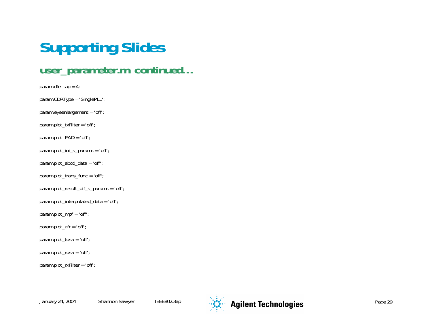#### **user\_parameter.m continued…**

param.dfe\_tap = 4; param.CDRType <sup>=</sup> 'SinglePLL'; param.eyeenlargement <sup>=</sup>'off'; param.plot\_txFilter <sup>=</sup>'off'; param.plot\_PAD = 'off'; param.plot\_ini\_s\_params <sup>=</sup>'off'; param.plot\_abcd\_data = 'off'; param.plot\_trans\_func <sup>=</sup>'off'; param.plot\_result\_dif\_s\_params <sup>=</sup>'off'; param.plot\_interpolated\_data = 'off'; param.plot\_mpf <sup>=</sup>'off'; param.plot\_afr <sup>=</sup>'off'; param.plot\_tosa <sup>=</sup>'off'; param.plot\_rosa <sup>=</sup>'off'; param.plot\_rxFilter <sup>=</sup>'off';